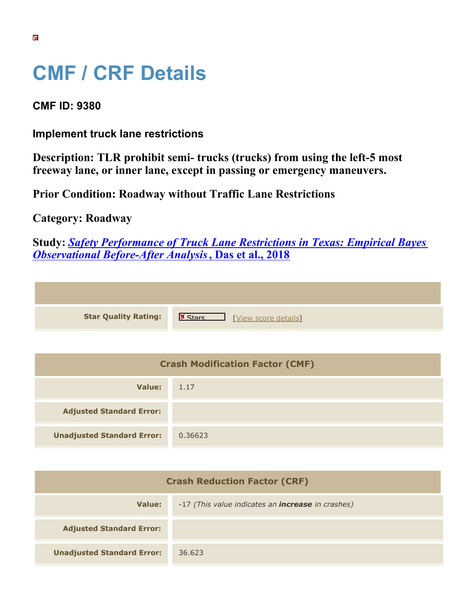## **CMF / CRF Details**

## **CMF ID: 9380**

**Implement truck lane restrictions**

**Description: TLR prohibit semi- trucks (trucks) from using the left-5 most freeway lane, or inner lane, except in passing or emergency maneuvers.**

**Prior Condition: Roadway without Traffic Lane Restrictions**

## **Category: Roadway**

**Study:** *[Safety Performance of Truck Lane Restrictions in Texas: Empirical Bayes](https://cmfclearinghouse.org/study_detail.cfm?stid=521) [Observational Before-After Analysis](https://cmfclearinghouse.org/study_detail.cfm?stid=521)***[, Das et al., 2018](https://cmfclearinghouse.org/study_detail.cfm?stid=521)**

|  | <b>Star Quality Rating:</b> |
|--|-----------------------------|

**IS A RATION CONTROVER SCORE DETAILS** 

| <b>Crash Modification Factor (CMF)</b> |         |  |
|----------------------------------------|---------|--|
| Value:                                 | 1.17    |  |
| <b>Adjusted Standard Error:</b>        |         |  |
| <b>Unadjusted Standard Error:</b>      | 0.36623 |  |

| <b>Crash Reduction Factor (CRF)</b> |                                                          |
|-------------------------------------|----------------------------------------------------------|
| Value:                              | -17 (This value indicates an <b>increase</b> in crashes) |
| <b>Adjusted Standard Error:</b>     |                                                          |
| <b>Unadjusted Standard Error:</b>   | 36.623                                                   |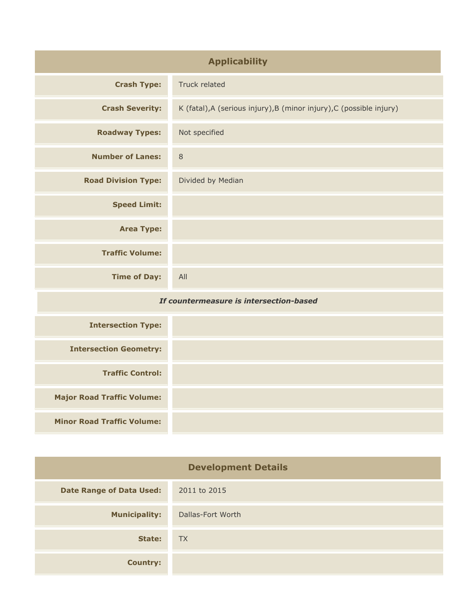| <b>Applicability</b>                    |                                                                      |  |
|-----------------------------------------|----------------------------------------------------------------------|--|
| <b>Crash Type:</b>                      | Truck related                                                        |  |
| <b>Crash Severity:</b>                  | K (fatal), A (serious injury), B (minor injury), C (possible injury) |  |
| <b>Roadway Types:</b>                   | Not specified                                                        |  |
| <b>Number of Lanes:</b>                 | $\,8\,$                                                              |  |
| <b>Road Division Type:</b>              | Divided by Median                                                    |  |
| <b>Speed Limit:</b>                     |                                                                      |  |
| <b>Area Type:</b>                       |                                                                      |  |
| <b>Traffic Volume:</b>                  |                                                                      |  |
| <b>Time of Day:</b>                     | All                                                                  |  |
| If countermeasure is intersection-based |                                                                      |  |
| <b>Intersection Type:</b>               |                                                                      |  |
| <b>Intersection Geometry:</b>           |                                                                      |  |
| <b>Traffic Control:</b>                 |                                                                      |  |
| <b>Major Road Traffic Volume:</b>       |                                                                      |  |
| <b>Minor Road Traffic Volume:</b>       |                                                                      |  |

| <b>Development Details</b>      |                   |  |
|---------------------------------|-------------------|--|
| <b>Date Range of Data Used:</b> | 2011 to 2015      |  |
| <b>Municipality:</b>            | Dallas-Fort Worth |  |
| State:                          | <b>TX</b>         |  |
| <b>Country:</b>                 |                   |  |